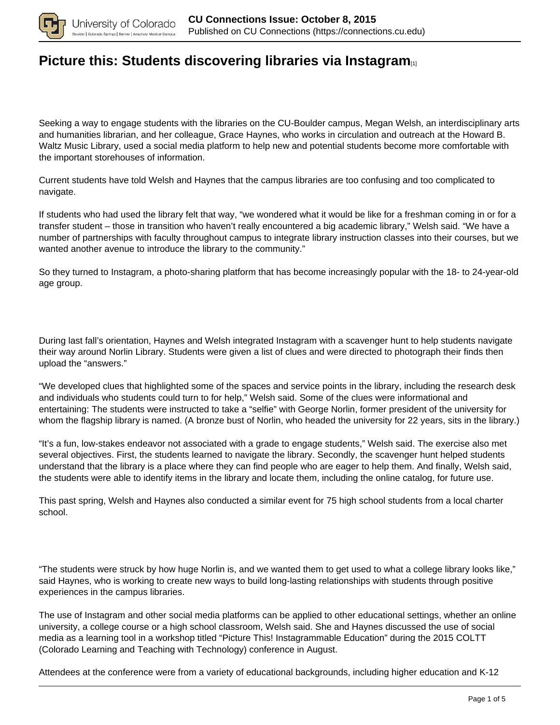

# **[Picture this: Students discovering libraries via Instagram](https://connections.cu.edu/spotlights/picture-students-discovering-libraries-instagram)**[1]

Seeking a way to engage students with the libraries on the CU-Boulder campus, Megan Welsh, an interdisciplinary arts and humanities librarian, and her colleague, Grace Haynes, who works in circulation and outreach at the Howard B. Waltz Music Library, used a social media platform to help new and potential students become more comfortable with the important storehouses of information.

Current students have told Welsh and Haynes that the campus libraries are too confusing and too complicated to navigate.

If students who had used the library felt that way, "we wondered what it would be like for a freshman coming in or for a transfer student – those in transition who haven't really encountered a big academic library," Welsh said. "We have a number of partnerships with faculty throughout campus to integrate library instruction classes into their courses, but we wanted another avenue to introduce the library to the community."

So they turned to Instagram, a photo-sharing platform that has become increasingly popular with the 18- to 24-year-old age group.

During last fall's orientation, Haynes and Welsh integrated Instagram with a scavenger hunt to help students navigate their way around Norlin Library. Students were given a list of clues and were directed to photograph their finds then upload the "answers."

"We developed clues that highlighted some of the spaces and service points in the library, including the research desk and individuals who students could turn to for help," Welsh said. Some of the clues were informational and entertaining: The students were instructed to take a "selfie" with George Norlin, former president of the university for whom the flagship library is named. (A bronze bust of Norlin, who headed the university for 22 years, sits in the library.)

"It's a fun, low-stakes endeavor not associated with a grade to engage students," Welsh said. The exercise also met several objectives. First, the students learned to navigate the library. Secondly, the scavenger hunt helped students understand that the library is a place where they can find people who are eager to help them. And finally, Welsh said, the students were able to identify items in the library and locate them, including the online catalog, for future use.

This past spring, Welsh and Haynes also conducted a similar event for 75 high school students from a local charter school.

"The students were struck by how huge Norlin is, and we wanted them to get used to what a college library looks like," said Haynes, who is working to create new ways to build long-lasting relationships with students through positive experiences in the campus libraries.

The use of Instagram and other social media platforms can be applied to other educational settings, whether an online university, a college course or a high school classroom, Welsh said. She and Haynes discussed the use of social media as a learning tool in a workshop titled "Picture This! Instagrammable Education" during the 2015 COLTT (Colorado Learning and Teaching with Technology) conference in August.

Attendees at the conference were from a variety of educational backgrounds, including higher education and K-12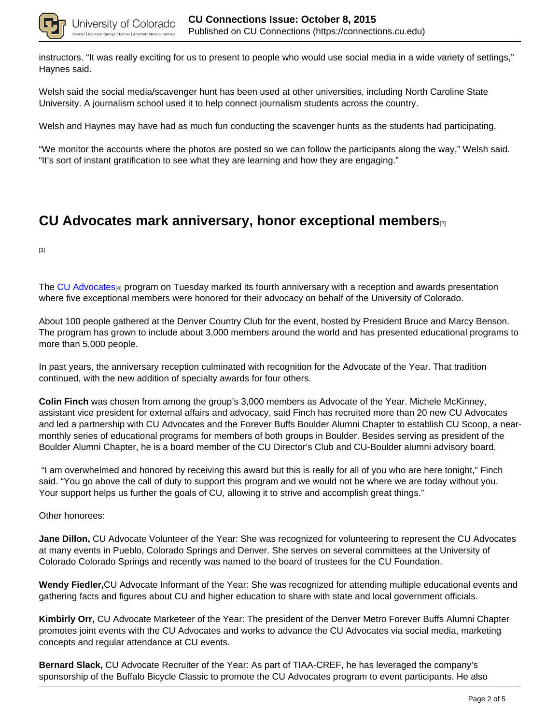

instructors. "It was really exciting for us to present to people who would use social media in a wide variety of settings," Haynes said.

Welsh said the social media/scavenger hunt has been used at other universities, including North Caroline State University. A journalism school used it to help connect journalism students across the country.

Welsh and Haynes may have had as much fun conducting the scavenger hunts as the students had participating.

"We monitor the accounts where the photos are posted so we can follow the participants along the way," Welsh said. "It's sort of instant gratification to see what they are learning and how they are engaging."

## **CU Advocates mark anniversary, honor exceptional members**[2]

[3]

The CU Advocates<sub>[4]</sub> program on Tuesday marked its fourth anniversary with a reception and awards presentation where five exceptional members were honored for their advocacy on behalf of the University of Colorado.

About 100 people gathered at the Denver Country Club for the event, hosted by President Bruce and Marcy Benson. The program has grown to include about 3,000 members around the world and has presented educational programs to more than 5,000 people.

In past years, the anniversary reception culminated with recognition for the Advocate of the Year. That tradition continued, with the new addition of specialty awards for four others.

**Colin Finch** was chosen from among the group's 3,000 members as Advocate of the Year. Michele McKinney, assistant vice president for external affairs and advocacy, said Finch has recruited more than 20 new CU Advocates and led a partnership with CU Advocates and the Forever Buffs Boulder Alumni Chapter to establish CU Scoop, a nearmonthly series of educational programs for members of both groups in Boulder. Besides serving as president of the Boulder Alumni Chapter, he is a board member of the CU Director's Club and CU-Boulder alumni advisory board.

 "I am overwhelmed and honored by receiving this award but this is really for all of you who are here tonight," Finch said. "You go above the call of duty to support this program and we would not be where we are today without you. Your support helps us further the goals of CU, allowing it to strive and accomplish great things."

Other honorees:

**Jane Dillon,** CU Advocate Volunteer of the Year: She was recognized for volunteering to represent the CU Advocates at many events in Pueblo, Colorado Springs and Denver. She serves on several committees at the University of Colorado Colorado Springs and recently was named to the board of trustees for the CU Foundation.

**Wendy Fiedler,**CU Advocate Informant of the Year: She was recognized for attending multiple educational events and gathering facts and figures about CU and higher education to share with state and local government officials.

**Kimbirly Orr,** CU Advocate Marketeer of the Year: The president of the Denver Metro Forever Buffs Alumni Chapter promotes joint events with the CU Advocates and works to advance the CU Advocates via social media, marketing concepts and regular attendance at CU events.

**Bernard Slack,** CU Advocate Recruiter of the Year: As part of TIAA-CREF, he has leveraged the company's sponsorship of the Buffalo Bicycle Classic to promote the CU Advocates program to event participants. He also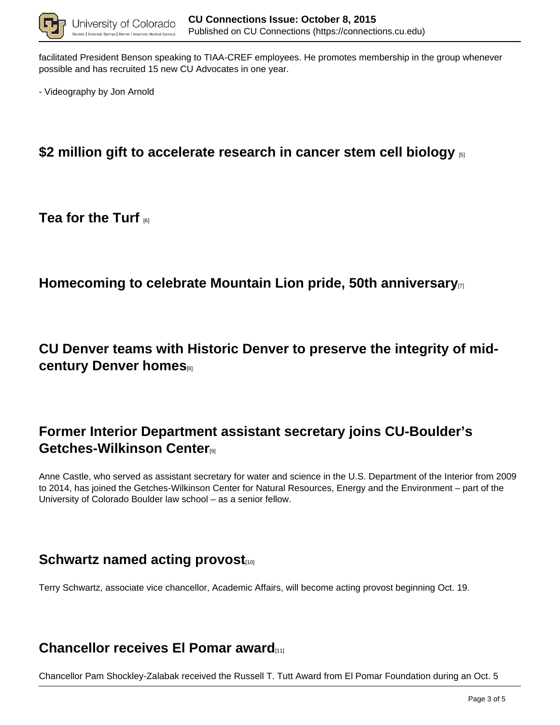

facilitated President Benson speaking to TIAA-CREF employees. He promotes membership in the group whenever possible and has recruited 15 new CU Advocates in one year.

- Videography by Jon Arnold

# **\$2 million gift to accelerate research in cancer stem cell biology** [5]

#### **Tea for the Turf** [6]

## **Homecoming to celebrate Mountain Lion pride, 50th anniversary**[7]

**CU Denver teams with Historic Denver to preserve the integrity of midcentury Denver homes**[8]

# **Former Interior Department assistant secretary joins CU-Boulder's Getches-Wilkinson Center**[9]

Anne Castle, who served as assistant secretary for water and science in the U.S. Department of the Interior from 2009 to 2014, has joined the Getches-Wilkinson Center for Natural Resources, Energy and the Environment – part of the University of Colorado Boulder law school – as a senior fellow.

# **Schwartz named acting provost**

Terry Schwartz, associate vice chancellor, Academic Affairs, will become acting provost beginning Oct. 19.

## **Chancellor receives El Pomar award**[11]

Chancellor Pam Shockley-Zalabak received the Russell T. Tutt Award from El Pomar Foundation during an Oct. 5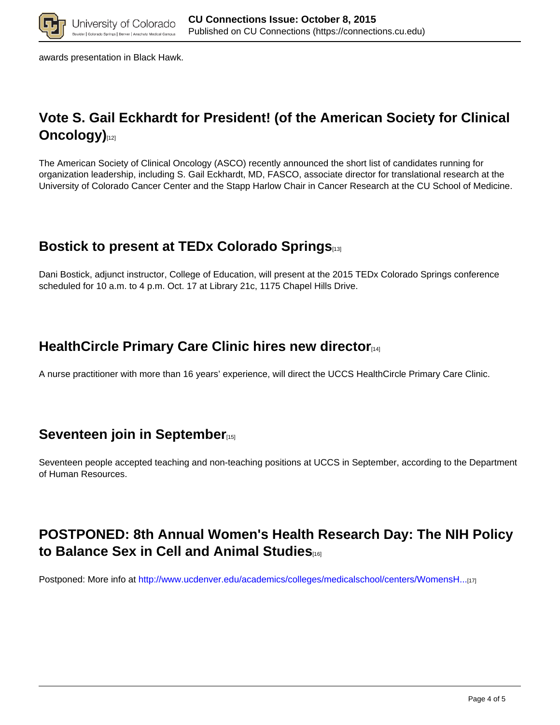

awards presentation in Black Hawk.

# **Vote S. Gail Eckhardt for President! (of the American Society for Clinical Oncology**)

The American Society of Clinical Oncology (ASCO) recently announced the short list of candidates running for organization leadership, including S. Gail Eckhardt, MD, FASCO, associate director for translational research at the University of Colorado Cancer Center and the Stapp Harlow Chair in Cancer Research at the CU School of Medicine.

# **Bostick to present at TEDx Colorado Springs**[13]

Dani Bostick, adjunct instructor, College of Education, will present at the 2015 TEDx Colorado Springs conference scheduled for 10 a.m. to 4 p.m. Oct. 17 at Library 21c, 1175 Chapel Hills Drive.

# **HealthCircle Primary Care Clinic hires new director**[14]

A nurse practitioner with more than 16 years' experience, will direct the UCCS HealthCircle Primary Care Clinic.

# **Seventeen join in September**<sup>[15]</sup>

Seventeen people accepted teaching and non-teaching positions at UCCS in September, according to the Department of Human Resources.

# **POSTPONED: 8th Annual Women's Health Research Day: The NIH Policy to Balance Sex in Cell and Animal Studies**[16]

Postponed: More info at http://www.ucdenver.edu/academics/colleges/medicalschool/centers/WomensH...[17]